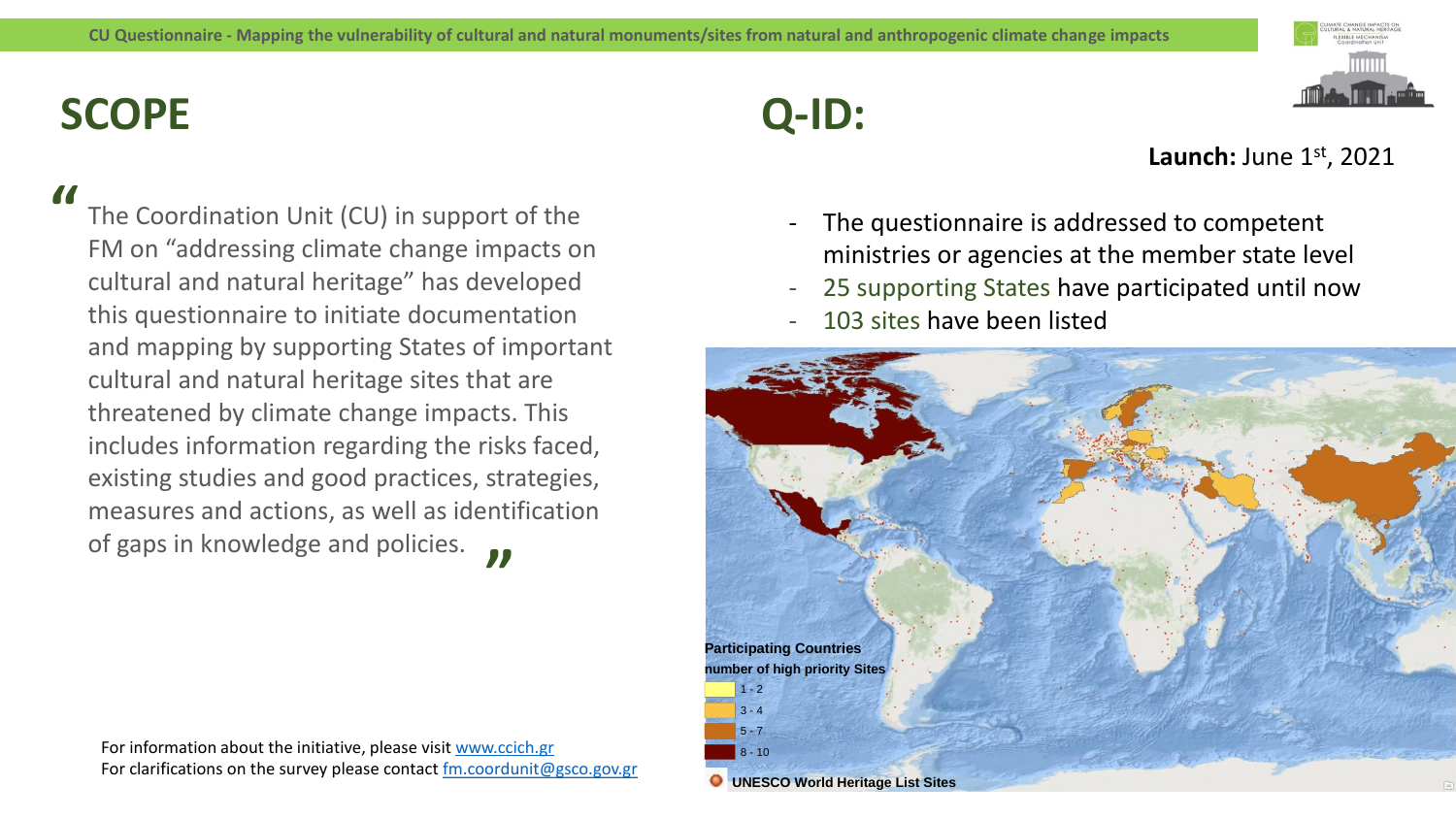## **SCOPE**

**"**

The Coordination Unit (CU) in support of the FM on "addressing climate change impacts on cultural and natural heritage" has developed this questionnaire to initiate documentation and mapping by supporting States of important cultural and natural heritage sites that are threatened by climate change impacts. This includes information regarding the risks faced, existing studies and good practices, strategies, measures and actions, as well as identification of gaps in knowledge and policies. **"**

**Q-ID:**



#### **Launch:** June 1st, 2021

- The questionnaire is addressed to competent ministries or agencies at the member state level
- 25 supporting States have participated until now
- 103 sites have been listed



For information about the initiative, please visit [www.ccich.gr](http://www.ccich.gr/) For clarifications on the survey please contact [fm.coordunit@gsco.gov.gr](mailto:fm.coordunit@gsco.gov.gr)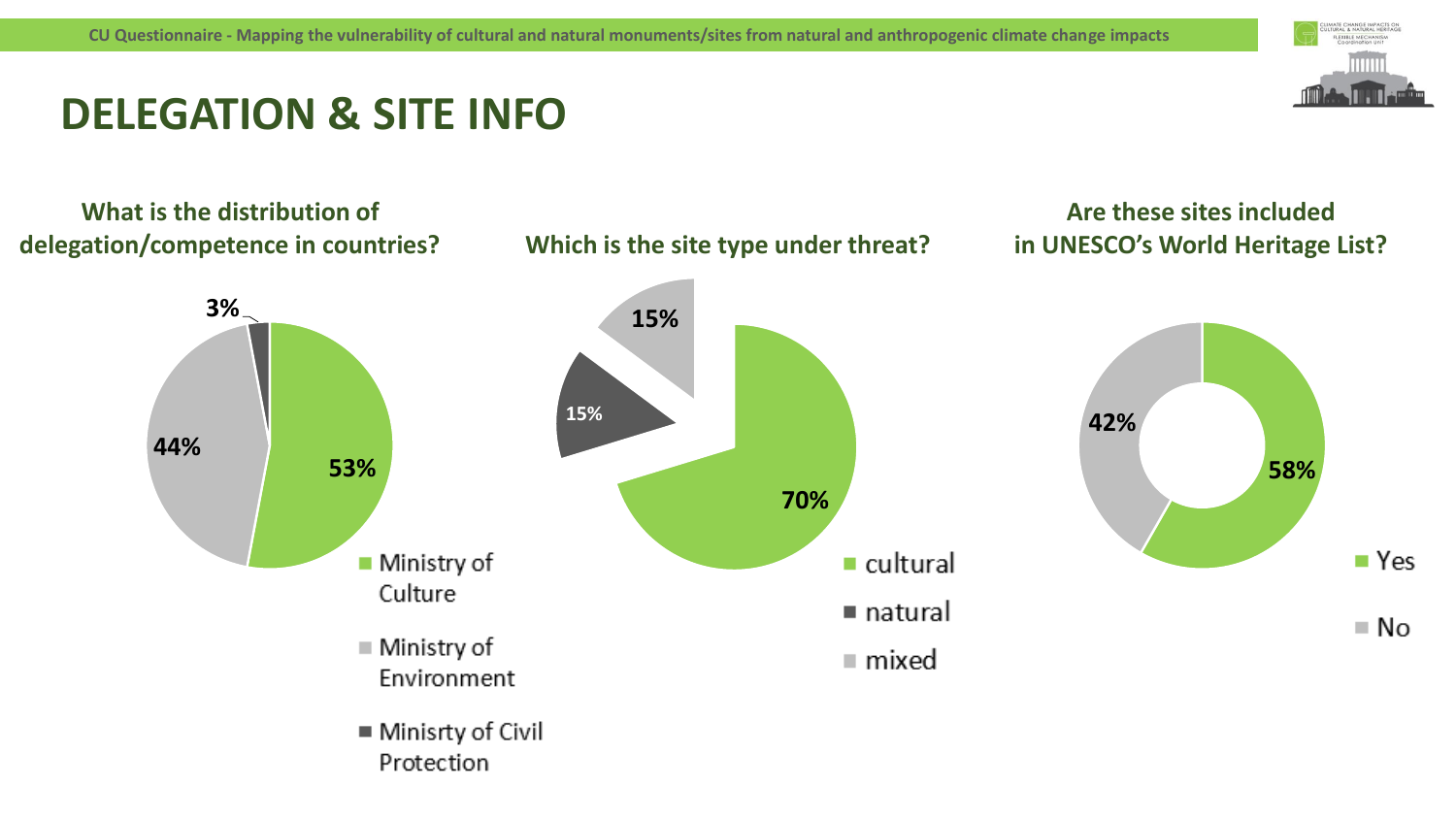

**Are these sites included** 

## **DELEGATION & SITE INFO**

#### **What is the distribution of delegation/competence in countries?**



**Which is the site type under threat?**

■ Minisrty of Civil Protection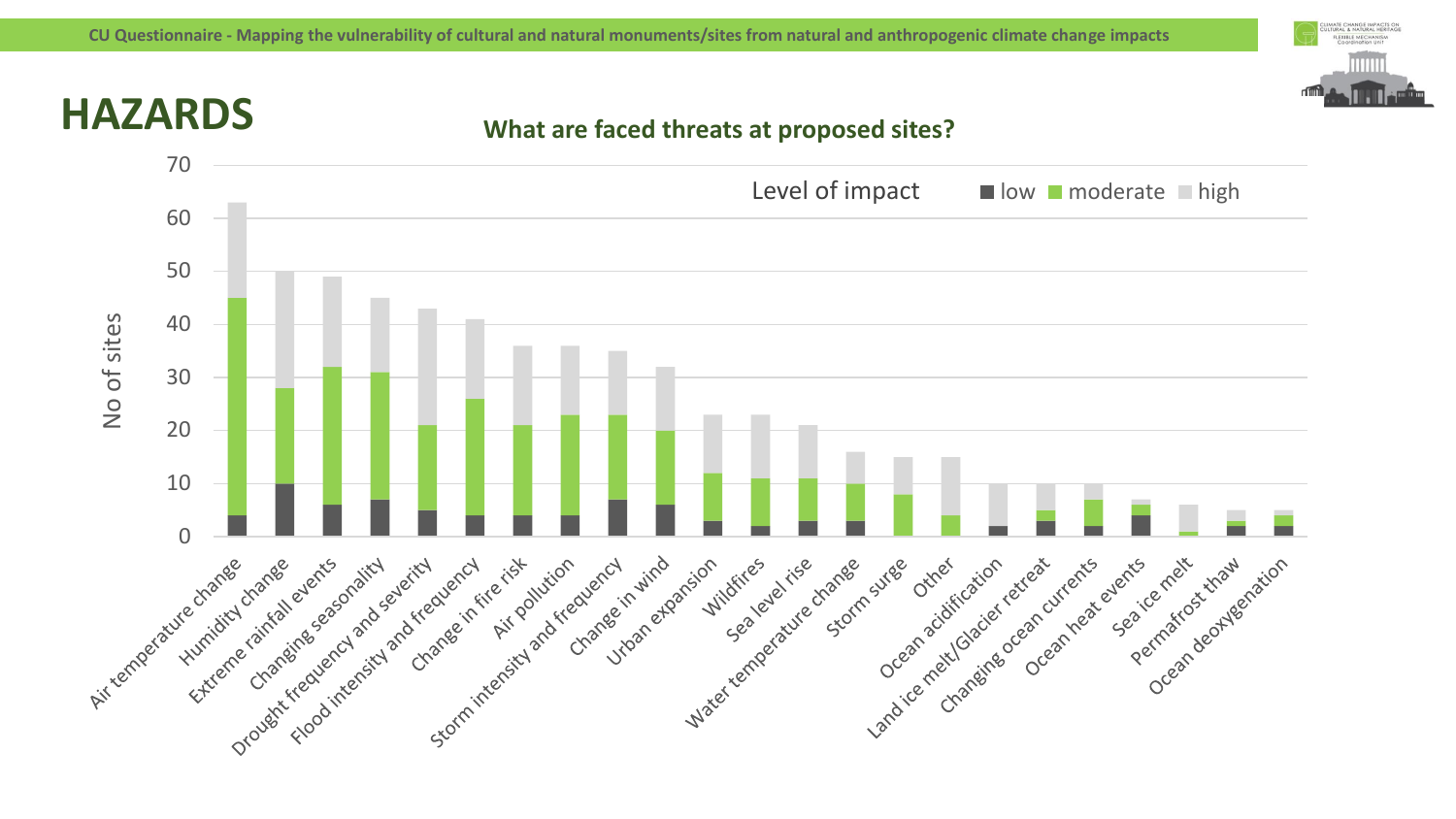

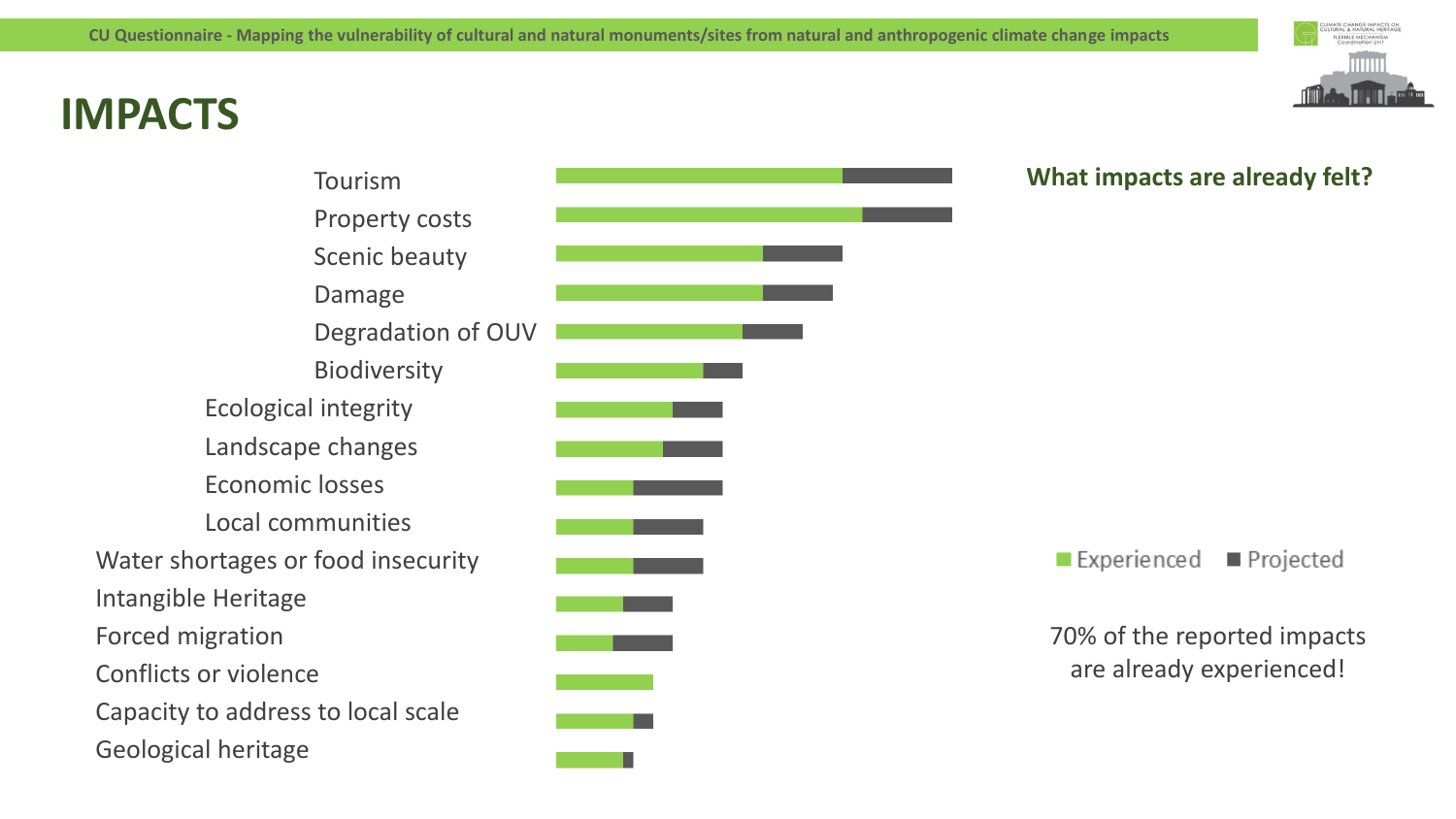# **IMPACTS**



#### $\blacksquare$  Experienced ■ Projected

70% of the reported impacts are already experienced!

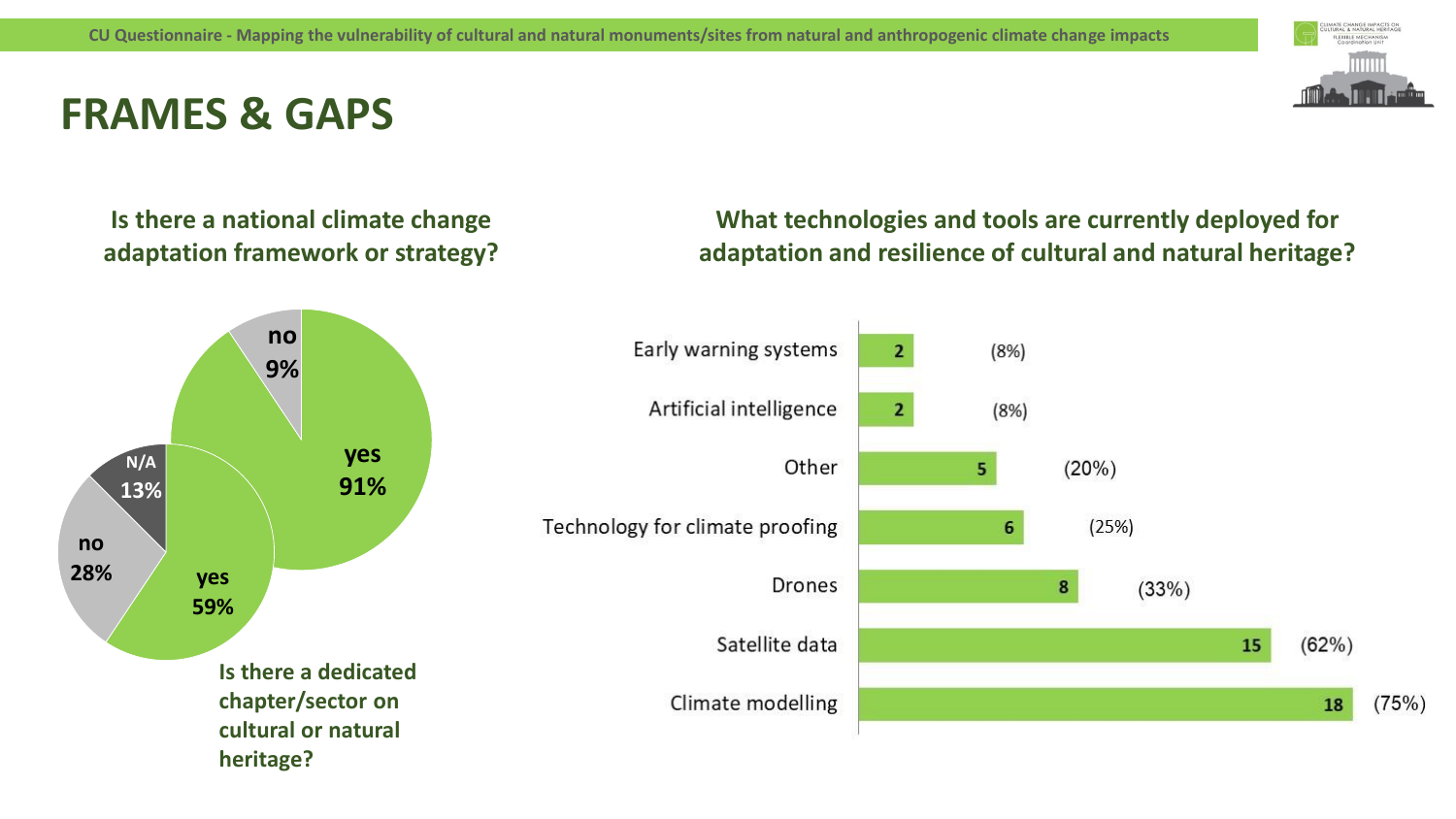## **FRAMES & GAPS**



**Is there a national climate change adaptation framework or strategy?**



**What technologies and tools are currently deployed for adaptation and resilience of cultural and natural heritage?**

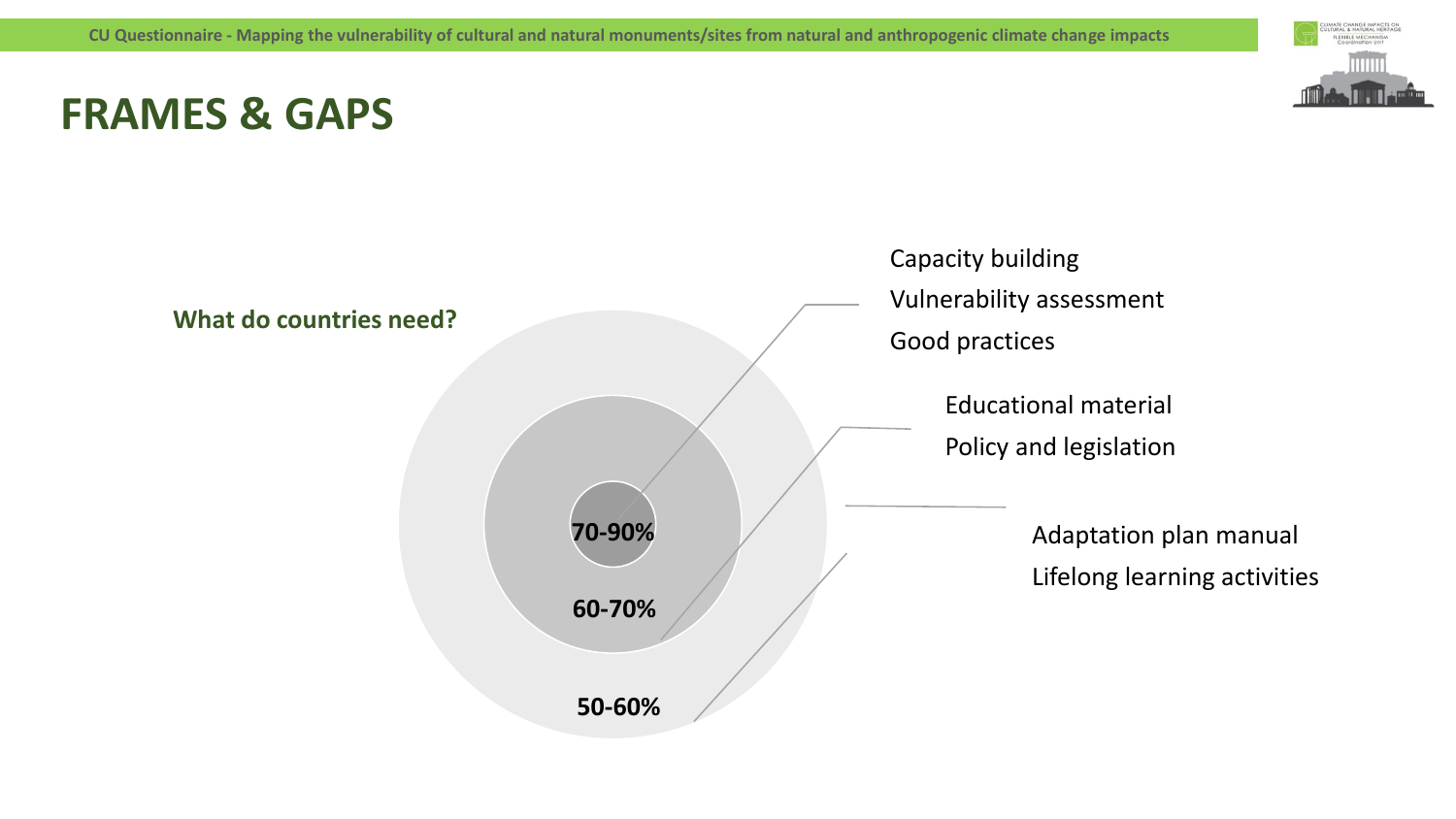## **FRAMES & GAPS**



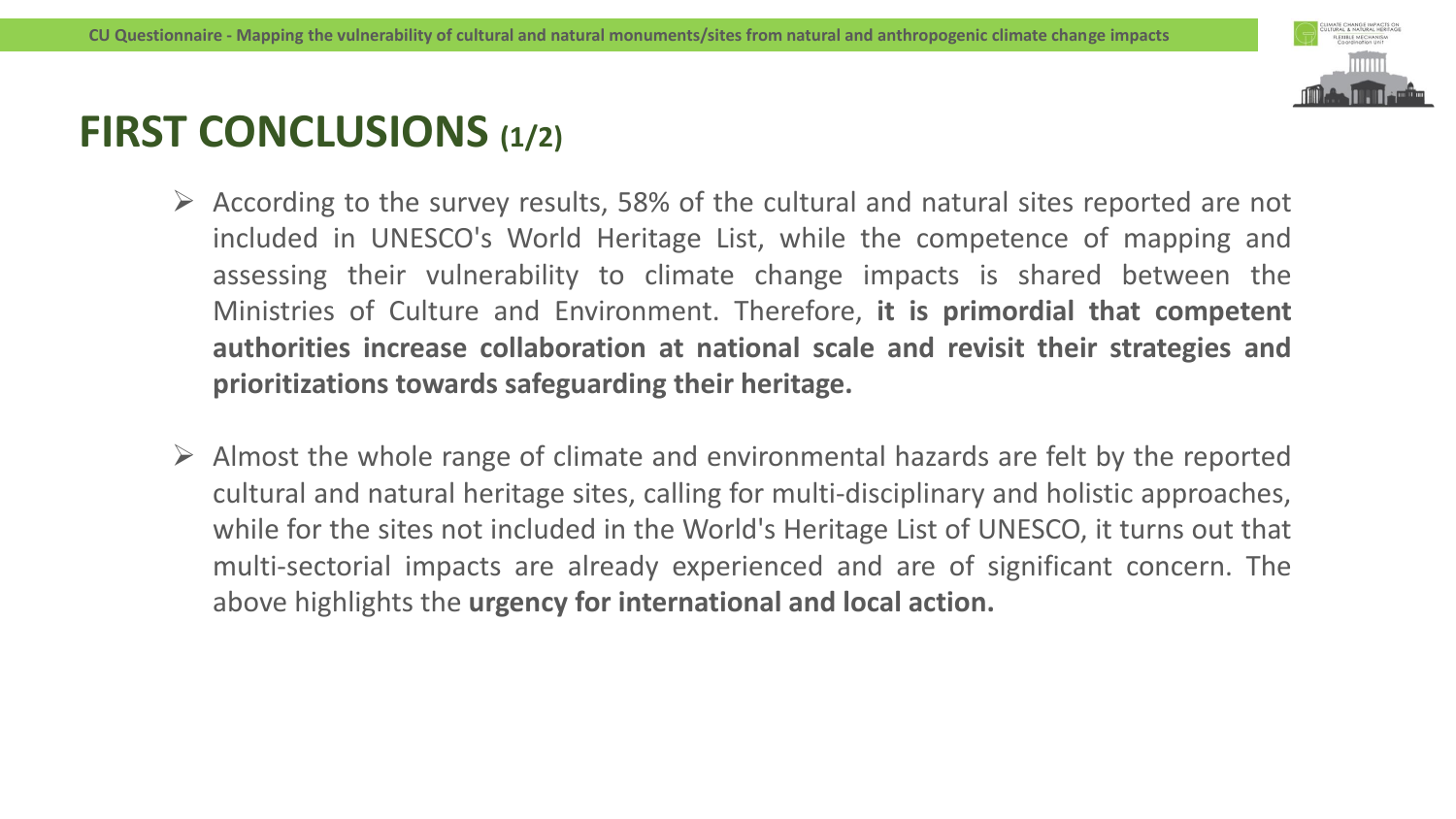

### **FIRST CONCLUSIONS (1/2)**

- $\triangleright$  According to the survey results, 58% of the cultural and natural sites reported are not included in UNESCO's World Heritage List, while the competence of mapping and assessing their vulnerability to climate change impacts is shared between the Ministries of Culture and Environment. Therefore, **it is primordial that competent authorities increase collaboration at national scale and revisit their strategies and prioritizations towards safeguarding their heritage.**
- $\triangleright$  Almost the whole range of climate and environmental hazards are felt by the reported cultural and natural heritage sites, calling for multi-disciplinary and holistic approaches, while for the sites not included in the World's Heritage List of UNESCO, it turns out that multi-sectorial impacts are already experienced and are of significant concern. The above highlights the **urgency for international and local action.**